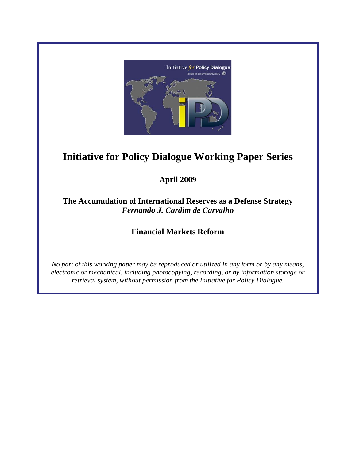

# **Initiative for Policy Dialogue Working Paper Series**

# **April 2009**

### **The Accumulation of International Reserves as a Defense Strategy**  *Fernando J. Cardim de Carvalho*

## **Financial Markets Reform**

*No part of this working paper may be reproduced or utilized in any form or by any means, electronic or mechanical, including photocopying, recording, or by information storage or retrieval system, without permission from the Initiative for Policy Dialogue.*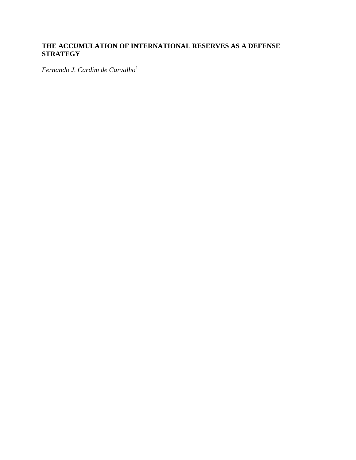### **THE ACCUMULATION OF INTERNATIONAL RESERVES AS A DEFENSE STRATEGY**

*Fernando J. Cardim de Carvalho*[1](#page-25-0)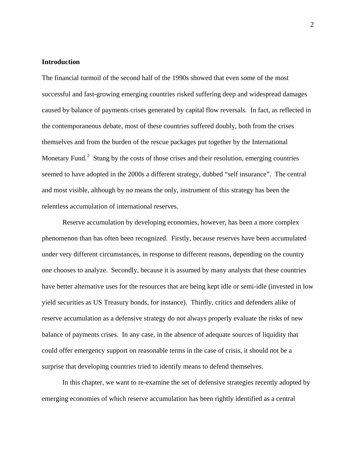#### **Introduction**

The financial turmoil of the second half of the 1990s showed that even some of the most successful and fast-growing emerging countries risked suffering deep and widespread damages caused by balance of payments crises generated by capital flow reversals. In fact, as reflected in the contemporaneous debate, most of these countries suffered doubly, both from the crises themselves and from the burden of the rescue packages put together by the International Monetary Fund.<sup>[2](#page-25-1)</sup> Stung by the costs of those crises and their resolution, emerging countries seemed to have adopted in the 2000s a different strategy, dubbed "self insurance". The central and most visible, although by no means the only, instrument of this strategy has been the relentless accumulation of international reserves.

Reserve accumulation by developing economies, however, has been a more complex phenomenon than has often been recognized. Firstly, because reserves have been accumulated under very different circumstances, in response to different reasons, depending on the country one chooses to analyze. Secondly, because it is assumed by many analysts that these countries have better alternative uses for the resources that are being kept idle or semi-idle (invested in low yield securities as US Treasury bonds, for instance). Thirdly, critics and defenders alike of reserve accumulation as a defensive strategy do not always properly evaluate the risks of new balance of payments crises. In any case, in the absence of adequate sources of liquidity that could offer emergency support on reasonable terms in the case of crisis, it should not be a surprise that developing countries tried to identify means to defend themselves.

In this chapter, we want to re-examine the set of defensive strategies recently adopted by emerging economies of which reserve accumulation has been rightly identified as a central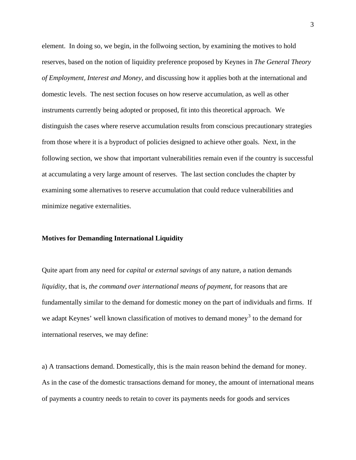element. In doing so, we begin, in the follwoing section, by examining the motives to hold reserves, based on the notion of liquidity preference proposed by Keynes in *The General Theory of Employment, Interest and Money*, and discussing how it applies both at the international and domestic levels. The nest section focuses on how reserve accumulation, as well as other instruments currently being adopted or proposed, fit into this theoretical approach. We distinguish the cases where reserve accumulation results from conscious precautionary strategies from those where it is a byproduct of policies designed to achieve other goals. Next, in the following section, we show that important vulnerabilities remain even if the country is successful at accumulating a very large amount of reserves. The last section concludes the chapter by examining some alternatives to reserve accumulation that could reduce vulnerabilities and minimize negative externalities.

#### **Motives for Demanding International Liquidity**

Quite apart from any need for *capital* or *external savings* of any nature, a nation demands *liquidity*, that is, *the command over international means of payment*, for reasons that are fundamentally similar to the demand for domestic money on the part of individuals and firms. If we adapt Keynes' well known classification of motives to demand money<sup>[3](#page-25-2)</sup> to the demand for international reserves, we may define:

a) A transactions demand. Domestically, this is the main reason behind the demand for money. As in the case of the domestic transactions demand for money, the amount of international means of payments a country needs to retain to cover its payments needs for goods and services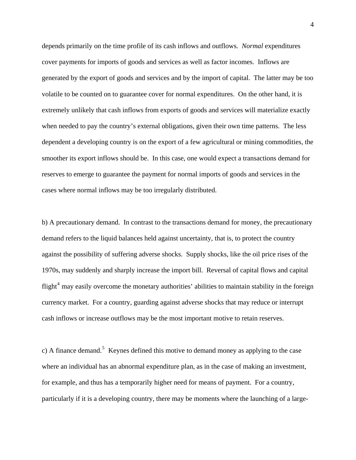depends primarily on the time profile of its cash inflows and outflows. *Normal* expenditures cover payments for imports of goods and services as well as factor incomes. Inflows are generated by the export of goods and services and by the import of capital. The latter may be too volatile to be counted on to guarantee cover for normal expenditures. On the other hand, it is extremely unlikely that cash inflows from exports of goods and services will materialize exactly when needed to pay the country's external obligations, given their own time patterns. The less dependent a developing country is on the export of a few agricultural or mining commodities, the smoother its export inflows should be. In this case, one would expect a transactions demand for reserves to emerge to guarantee the payment for normal imports of goods and services in the cases where normal inflows may be too irregularly distributed.

b) A precautionary demand. In contrast to the transactions demand for money, the precautionary demand refers to the liquid balances held against uncertainty, that is, to protect the country against the possibility of suffering adverse shocks. Supply shocks, like the oil price rises of the 1970s, may suddenly and sharply increase the import bill. Reversal of capital flows and capital flight<sup>[4](#page-25-3)</sup> may easily overcome the monetary authorities' abilities to maintain stability in the foreign currency market. For a country, guarding against adverse shocks that may reduce or interrupt cash inflows or increase outflows may be the most important motive to retain reserves.

c) A finance demand.<sup>[5](#page-25-4)</sup> Keynes defined this motive to demand money as applying to the case where an individual has an abnormal expenditure plan, as in the case of making an investment, for example, and thus has a temporarily higher need for means of payment. For a country, particularly if it is a developing country, there may be moments where the launching of a large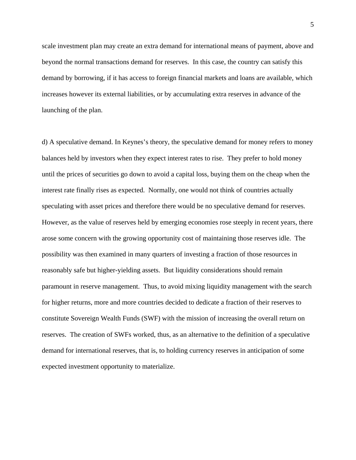scale investment plan may create an extra demand for international means of payment, above and beyond the normal transactions demand for reserves. In this case, the country can satisfy this demand by borrowing, if it has access to foreign financial markets and loans are available, which increases however its external liabilities, or by accumulating extra reserves in advance of the launching of the plan.

d) A speculative demand. In Keynes's theory, the speculative demand for money refers to money balances held by investors when they expect interest rates to rise. They prefer to hold money until the prices of securities go down to avoid a capital loss, buying them on the cheap when the interest rate finally rises as expected. Normally, one would not think of countries actually speculating with asset prices and therefore there would be no speculative demand for reserves. However, as the value of reserves held by emerging economies rose steeply in recent years, there arose some concern with the growing opportunity cost of maintaining those reserves idle. The possibility was then examined in many quarters of investing a fraction of those resources in reasonably safe but higher-yielding assets. But liquidity considerations should remain paramount in reserve management. Thus, to avoid mixing liquidity management with the search for higher returns, more and more countries decided to dedicate a fraction of their reserves to constitute Sovereign Wealth Funds (SWF) with the mission of increasing the overall return on reserves. The creation of SWFs worked, thus, as an alternative to the definition of a speculative demand for international reserves, that is, to holding currency reserves in anticipation of some expected investment opportunity to materialize.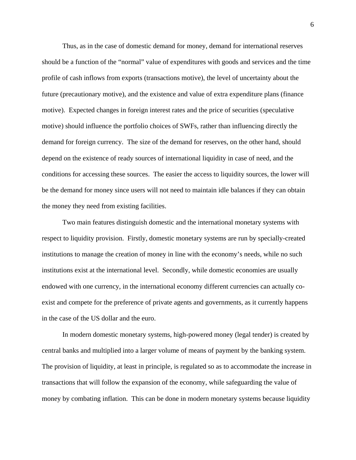Thus, as in the case of domestic demand for money, demand for international reserves should be a function of the "normal" value of expenditures with goods and services and the time profile of cash inflows from exports (transactions motive), the level of uncertainty about the future (precautionary motive), and the existence and value of extra expenditure plans (finance motive). Expected changes in foreign interest rates and the price of securities (speculative motive) should influence the portfolio choices of SWFs, rather than influencing directly the demand for foreign currency. The size of the demand for reserves, on the other hand, should depend on the existence of ready sources of international liquidity in case of need, and the conditions for accessing these sources. The easier the access to liquidity sources, the lower will be the demand for money since users will not need to maintain idle balances if they can obtain the money they need from existing facilities.

Two main features distinguish domestic and the international monetary systems with respect to liquidity provision. Firstly, domestic monetary systems are run by specially-created institutions to manage the creation of money in line with the economy's needs, while no such institutions exist at the international level. Secondly, while domestic economies are usually endowed with one currency, in the international economy different currencies can actually coexist and compete for the preference of private agents and governments, as it currently happens in the case of the US dollar and the euro.

In modern domestic monetary systems, high-powered money (legal tender) is created by central banks and multiplied into a larger volume of means of payment by the banking system. The provision of liquidity, at least in principle, is regulated so as to accommodate the increase in transactions that will follow the expansion of the economy, while safeguarding the value of money by combating inflation. This can be done in modern monetary systems because liquidity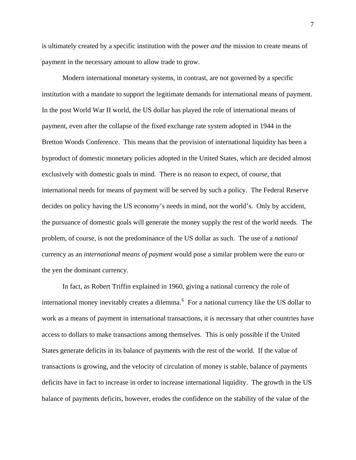is ultimately created by a specific institution with the power *and* the mission to create means of payment in the necessary amount to allow trade to grow.

Modern international monetary systems, in contrast, are not governed by a specific institution with a mandate to support the legitimate demands for international means of payment. In the post World War II world, the US dollar has played the role of international means of payment, even after the collapse of the fixed exchange rate system adopted in 1944 in the Bretton Woods Conference. This means that the provision of international liquidity has been a byproduct of domestic monetary policies adopted in the United States, which are decided almost exclusively with domestic goals in mind. There is no reason to expect, of course, that international needs for means of payment will be served by such a policy. The Federal Reserve decides on policy having the US economy's needs in mind, not the world's. Only by accident, the pursuance of domestic goals will generate the money supply the rest of the world needs. The problem, of course, is not the predominance of the US dollar as such. The use of a *national* currency as an *international means of payment* would pose a similar problem were the euro or the yen the dominant currency.

In fact, as Robert Triffin explained in 1960, giving a national currency the role of international money inevitably creates a dilemma.<sup>[6](#page-25-5)</sup> For a national currency like the US dollar to work as a means of payment in international transactions, it is necessary that other countries have access to dollars to make transactions among themselves. This is only possible if the United States generate deficits in its balance of payments with the rest of the world. If the value of transactions is growing, and the velocity of circulation of money is stable, balance of payments deficits have in fact to increase in order to increase international liquidity. The growth in the US balance of payments deficits, however, erodes the confidence on the stability of the value of the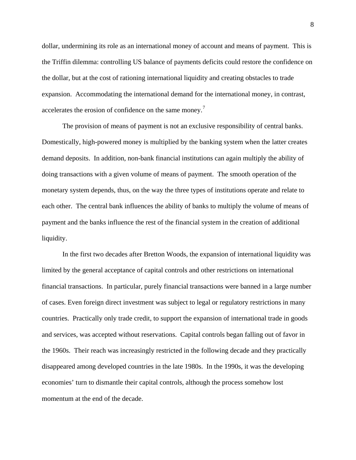dollar, undermining its role as an international money of account and means of payment. This is the Triffin dilemma: controlling US balance of payments deficits could restore the confidence on the dollar, but at the cost of rationing international liquidity and creating obstacles to trade expansion. Accommodating the international demand for the international money, in contrast, accelerates the erosion of confidence on the same money.<sup>[7](#page-25-6)</sup>

The provision of means of payment is not an exclusive responsibility of central banks. Domestically, high-powered money is multiplied by the banking system when the latter creates demand deposits. In addition, non-bank financial institutions can again multiply the ability of doing transactions with a given volume of means of payment. The smooth operation of the monetary system depends, thus, on the way the three types of institutions operate and relate to each other. The central bank influences the ability of banks to multiply the volume of means of payment and the banks influence the rest of the financial system in the creation of additional liquidity.

In the first two decades after Bretton Woods, the expansion of international liquidity was limited by the general acceptance of capital controls and other restrictions on international financial transactions. In particular, purely financial transactions were banned in a large number of cases. Even foreign direct investment was subject to legal or regulatory restrictions in many countries. Practically only trade credit, to support the expansion of international trade in goods and services, was accepted without reservations. Capital controls began falling out of favor in the 1960s. Their reach was increasingly restricted in the following decade and they practically disappeared among developed countries in the late 1980s. In the 1990s, it was the developing economies' turn to dismantle their capital controls, although the process somehow lost momentum at the end of the decade.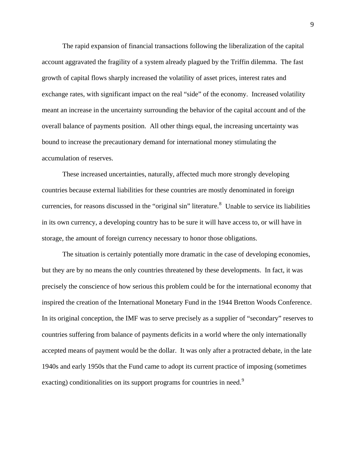The rapid expansion of financial transactions following the liberalization of the capital account aggravated the fragility of a system already plagued by the Triffin dilemma. The fast growth of capital flows sharply increased the volatility of asset prices, interest rates and exchange rates, with significant impact on the real "side" of the economy. Increased volatility meant an increase in the uncertainty surrounding the behavior of the capital account and of the overall balance of payments position. All other things equal, the increasing uncertainty was bound to increase the precautionary demand for international money stimulating the accumulation of reserves.

These increased uncertainties, naturally, affected much more strongly developing countries because external liabilities for these countries are mostly denominated in foreign currencies, for reasons discussed in the "original sin" literature. $8$  Unable to service its liabilities in its own currency, a developing country has to be sure it will have access to, or will have in storage, the amount of foreign currency necessary to honor those obligations.

The situation is certainly potentially more dramatic in the case of developing economies, but they are by no means the only countries threatened by these developments. In fact, it was precisely the conscience of how serious this problem could be for the international economy that inspired the creation of the International Monetary Fund in the 1944 Bretton Woods Conference. In its original conception, the IMF was to serve precisely as a supplier of "secondary" reserves to countries suffering from balance of payments deficits in a world where the only internationally accepted means of payment would be the dollar. It was only after a protracted debate, in the late 1940s and early 1950s that the Fund came to adopt its current practice of imposing (sometimes exacting) conditionalities on its support programs for countries in need.<sup>[9](#page-25-8)</sup>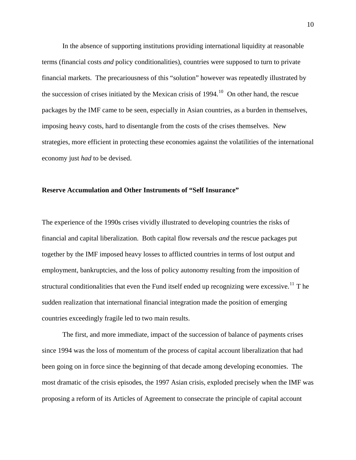In the absence of supporting institutions providing international liquidity at reasonable terms (financial costs *and* policy conditionalities), countries were supposed to turn to private financial markets. The precariousness of this "solution" however was repeatedly illustrated by the succession of crises initiated by the Mexican crisis of  $1994$ .<sup>[10](#page-25-9)</sup> On other hand, the rescue packages by the IMF came to be seen, especially in Asian countries, as a burden in themselves, imposing heavy costs, hard to disentangle from the costs of the crises themselves. New strategies, more efficient in protecting these economies against the volatilities of the international economy just *had* to be devised.

#### **Reserve Accumulation and Other Instruments of "Self Insurance"**

The experience of the 1990s crises vividly illustrated to developing countries the risks of financial and capital liberalization. Both capital flow reversals *and* the rescue packages put together by the IMF imposed heavy losses to afflicted countries in terms of lost output and employment, bankruptcies, and the loss of policy autonomy resulting from the imposition of structural conditionalities that even the Fund itself ended up recognizing were excessive.<sup>[11](#page-25-10)</sup> T he sudden realization that international financial integration made the position of emerging countries exceedingly fragile led to two main results.

The first, and more immediate, impact of the succession of balance of payments crises since 1994 was the loss of momentum of the process of capital account liberalization that had been going on in force since the beginning of that decade among developing economies. The most dramatic of the crisis episodes, the 1997 Asian crisis, exploded precisely when the IMF was proposing a reform of its Articles of Agreement to consecrate the principle of capital account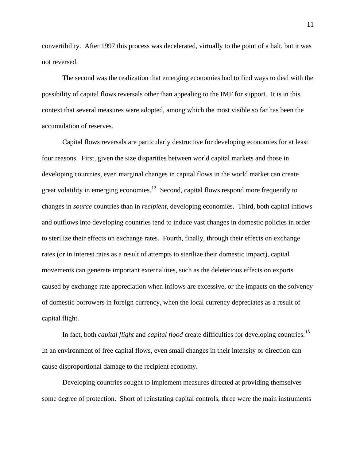convertibility. After 1997 this process was decelerated, virtually to the point of a halt, but it was not reversed.

The second was the realization that emerging economies had to find ways to deal with the possibility of capital flows reversals other than appealing to the IMF for support. It is in this context that several measures were adopted, among which the most visible so far has been the accumulation of reserves.

Capital flows reversals are particularly destructive for developing economies for at least four reasons. First, given the size disparities between world capital markets and those in developing countries, even marginal changes in capital flows in the world market can create great volatility in emerging economies.<sup>[12](#page-25-11)</sup> Second, capital flows respond more frequently to changes in *source* countries than in *recipient*, developing economies. Third, both capital inflows and outflows into developing countries tend to induce vast changes in domestic policies in order to sterilize their effects on exchange rates. Fourth, finally, through their effects on exchange rates (or in interest rates as a result of attempts to sterilize their domestic impact), capital movements can generate important externalities, such as the deleterious effects on exports caused by exchange rate appreciation when inflows are excessive, or the impacts on the solvency of domestic borrowers in foreign currency, when the local currency depreciates as a result of capital flight.

In fact, both *capital flight* and *capital flood* create difficulties for developing countries.<sup>[13](#page-25-12)</sup> In an environment of free capital flows, even small changes in their intensity or direction can cause disproportional damage to the recipient economy.

Developing countries sought to implement measures directed at providing themselves some degree of protection. Short of reinstating capital controls, three were the main instruments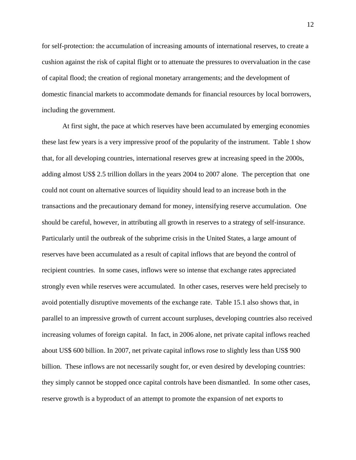for self-protection: the accumulation of increasing amounts of international reserves, to create a cushion against the risk of capital flight or to attenuate the pressures to overvaluation in the case of capital flood; the creation of regional monetary arrangements; and the development of domestic financial markets to accommodate demands for financial resources by local borrowers, including the government.

At first sight, the pace at which reserves have been accumulated by emerging economies these last few years is a very impressive proof of the popularity of the instrument. Table 1 show that, for all developing countries, international reserves grew at increasing speed in the 2000s, adding almost US\$ 2.5 trillion dollars in the years 2004 to 2007 alone. The perception that one could not count on alternative sources of liquidity should lead to an increase both in the transactions and the precautionary demand for money, intensifying reserve accumulation. One should be careful, however, in attributing all growth in reserves to a strategy of self-insurance. Particularly until the outbreak of the subprime crisis in the United States, a large amount of reserves have been accumulated as a result of capital inflows that are beyond the control of recipient countries. In some cases, inflows were so intense that exchange rates appreciated strongly even while reserves were accumulated. In other cases, reserves were held precisely to avoid potentially disruptive movements of the exchange rate. Table 15.1 also shows that, in parallel to an impressive growth of current account surpluses, developing countries also received increasing volumes of foreign capital. In fact, in 2006 alone, net private capital inflows reached about US\$ 600 billion. In 2007, net private capital inflows rose to slightly less than US\$ 900 billion. These inflows are not necessarily sought for, or even desired by developing countries: they simply cannot be stopped once capital controls have been dismantled. In some other cases, reserve growth is a byproduct of an attempt to promote the expansion of net exports to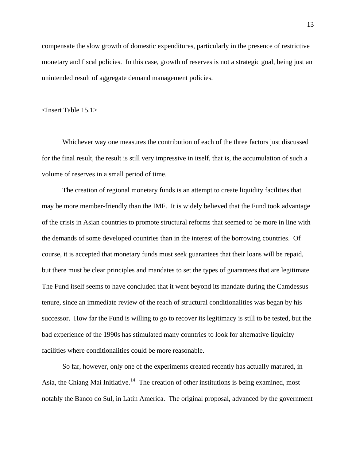compensate the slow growth of domestic expenditures, particularly in the presence of restrictive monetary and fiscal policies. In this case, growth of reserves is not a strategic goal, being just an unintended result of aggregate demand management policies.

<Insert Table 15.1>

Whichever way one measures the contribution of each of the three factors just discussed for the final result, the result is still very impressive in itself, that is, the accumulation of such a volume of reserves in a small period of time.

The creation of regional monetary funds is an attempt to create liquidity facilities that may be more member-friendly than the IMF. It is widely believed that the Fund took advantage of the crisis in Asian countries to promote structural reforms that seemed to be more in line with the demands of some developed countries than in the interest of the borrowing countries. Of course, it is accepted that monetary funds must seek guarantees that their loans will be repaid, but there must be clear principles and mandates to set the types of guarantees that are legitimate. The Fund itself seems to have concluded that it went beyond its mandate during the Camdessus tenure, since an immediate review of the reach of structural conditionalities was began by his successor. How far the Fund is willing to go to recover its legitimacy is still to be tested, but the bad experience of the 1990s has stimulated many countries to look for alternative liquidity facilities where conditionalities could be more reasonable.

So far, however, only one of the experiments created recently has actually matured, in Asia, the Chiang Mai Initiative.<sup>[14](#page-25-13)</sup> The creation of other institutions is being examined, most notably the Banco do Sul, in Latin America. The original proposal, advanced by the government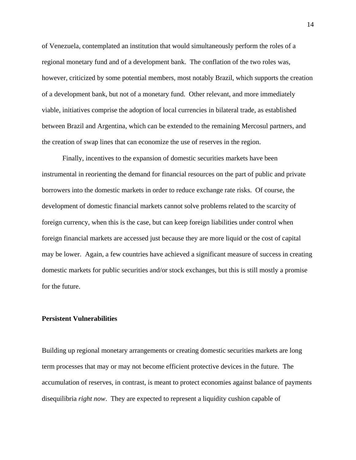of Venezuela, contemplated an institution that would simultaneously perform the roles of a regional monetary fund and of a development bank. The conflation of the two roles was, however, criticized by some potential members, most notably Brazil, which supports the creation of a development bank, but not of a monetary fund. Other relevant, and more immediately viable, initiatives comprise the adoption of local currencies in bilateral trade, as established between Brazil and Argentina, which can be extended to the remaining Mercosul partners, and the creation of swap lines that can economize the use of reserves in the region.

Finally, incentives to the expansion of domestic securities markets have been instrumental in reorienting the demand for financial resources on the part of public and private borrowers into the domestic markets in order to reduce exchange rate risks. Of course, the development of domestic financial markets cannot solve problems related to the scarcity of foreign currency, when this is the case, but can keep foreign liabilities under control when foreign financial markets are accessed just because they are more liquid or the cost of capital may be lower. Again, a few countries have achieved a significant measure of success in creating domestic markets for public securities and/or stock exchanges, but this is still mostly a promise for the future.

#### **Persistent Vulnerabilities**

Building up regional monetary arrangements or creating domestic securities markets are long term processes that may or may not become efficient protective devices in the future. The accumulation of reserves, in contrast, is meant to protect economies against balance of payments disequilibria *right now*. They are expected to represent a liquidity cushion capable of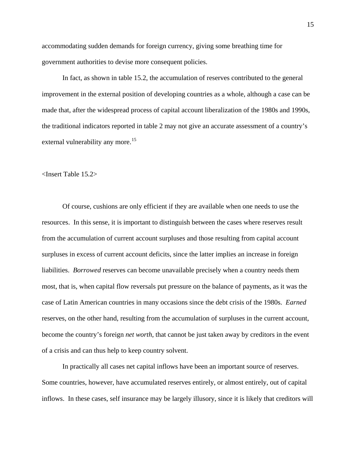accommodating sudden demands for foreign currency, giving some breathing time for government authorities to devise more consequent policies.

In fact, as shown in table 15.2, the accumulation of reserves contributed to the general improvement in the external position of developing countries as a whole, although a case can be made that, after the widespread process of capital account liberalization of the 1980s and 1990s, the traditional indicators reported in table 2 may not give an accurate assessment of a country's external vulnerability any more.<sup>[15](#page-25-14)</sup>

<Insert Table 15.2>

Of course, cushions are only efficient if they are available when one needs to use the resources. In this sense, it is important to distinguish between the cases where reserves result from the accumulation of current account surpluses and those resulting from capital account surpluses in excess of current account deficits, since the latter implies an increase in foreign liabilities. *Borrowed* reserves can become unavailable precisely when a country needs them most, that is, when capital flow reversals put pressure on the balance of payments, as it was the case of Latin American countries in many occasions since the debt crisis of the 1980s. *Earned* reserves, on the other hand, resulting from the accumulation of surpluses in the current account, become the country's foreign *net worth*, that cannot be just taken away by creditors in the event of a crisis and can thus help to keep country solvent.

In practically all cases net capital inflows have been an important source of reserves. Some countries, however, have accumulated reserves entirely, or almost entirely, out of capital inflows. In these cases, self insurance may be largely illusory, since it is likely that creditors will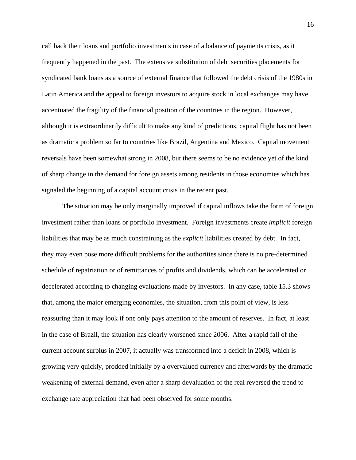call back their loans and portfolio investments in case of a balance of payments crisis, as it frequently happened in the past. The extensive substitution of debt securities placements for syndicated bank loans as a source of external finance that followed the debt crisis of the 1980s in Latin America and the appeal to foreign investors to acquire stock in local exchanges may have accentuated the fragility of the financial position of the countries in the region. However, although it is extraordinarily difficult to make any kind of predictions, capital flight has not been as dramatic a problem so far to countries like Brazil, Argentina and Mexico. Capital movement reversals have been somewhat strong in 2008, but there seems to be no evidence yet of the kind of sharp change in the demand for foreign assets among residents in those economies which has signaled the beginning of a capital account crisis in the recent past.

The situation may be only marginally improved if capital inflows take the form of foreign investment rather than loans or portfolio investment. Foreign investments create *implicit* foreign liabilities that may be as much constraining as the *explicit* liabilities created by debt. In fact, they may even pose more difficult problems for the authorities since there is no pre-determined schedule of repatriation or of remittances of profits and dividends, which can be accelerated or decelerated according to changing evaluations made by investors. In any case, table 15.3 shows that, among the major emerging economies, the situation, from this point of view, is less reassuring than it may look if one only pays attention to the amount of reserves. In fact, at least in the case of Brazil, the situation has clearly worsened since 2006. After a rapid fall of the current account surplus in 2007, it actually was transformed into a deficit in 2008, which is growing very quickly, prodded initially by a overvalued currency and afterwards by the dramatic weakening of external demand, even after a sharp devaluation of the real reversed the trend to exchange rate appreciation that had been observed for some months.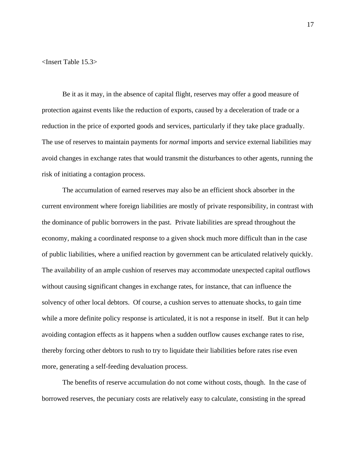<Insert Table 15.3>

Be it as it may, in the absence of capital flight, reserves may offer a good measure of protection against events like the reduction of exports, caused by a deceleration of trade or a reduction in the price of exported goods and services, particularly if they take place gradually. The use of reserves to maintain payments for *normal* imports and service external liabilities may avoid changes in exchange rates that would transmit the disturbances to other agents, running the risk of initiating a contagion process.

The accumulation of earned reserves may also be an efficient shock absorber in the current environment where foreign liabilities are mostly of private responsibility, in contrast with the dominance of public borrowers in the past. Private liabilities are spread throughout the economy, making a coordinated response to a given shock much more difficult than in the case of public liabilities, where a unified reaction by government can be articulated relatively quickly. The availability of an ample cushion of reserves may accommodate unexpected capital outflows without causing significant changes in exchange rates, for instance, that can influence the solvency of other local debtors. Of course, a cushion serves to attenuate shocks, to gain time while a more definite policy response is articulated, it is not a response in itself. But it can help avoiding contagion effects as it happens when a sudden outflow causes exchange rates to rise, thereby forcing other debtors to rush to try to liquidate their liabilities before rates rise even more, generating a self-feeding devaluation process.

The benefits of reserve accumulation do not come without costs, though. In the case of borrowed reserves, the pecuniary costs are relatively easy to calculate, consisting in the spread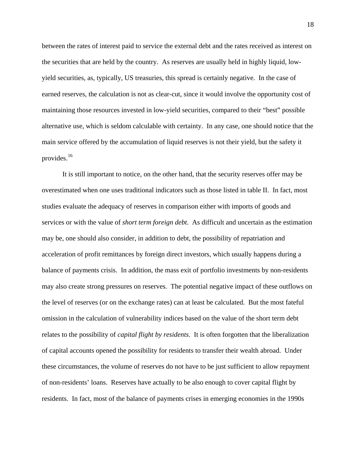between the rates of interest paid to service the external debt and the rates received as interest on the securities that are held by the country. As reserves are usually held in highly liquid, lowyield securities, as, typically, US treasuries, this spread is certainly negative. In the case of earned reserves, the calculation is not as clear-cut, since it would involve the opportunity cost of maintaining those resources invested in low-yield securities, compared to their "best" possible alternative use, which is seldom calculable with certainty. In any case, one should notice that the main service offered by the accumulation of liquid reserves is not their yield, but the safety it provides.[16](#page-25-15)

It is still important to notice, on the other hand, that the security reserves offer may be overestimated when one uses traditional indicators such as those listed in table II. In fact, most studies evaluate the adequacy of reserves in comparison either with imports of goods and services or with the value of *short term foreign debt*. As difficult and uncertain as the estimation may be, one should also consider, in addition to debt, the possibility of repatriation and acceleration of profit remittances by foreign direct investors, which usually happens during a balance of payments crisis. In addition, the mass exit of portfolio investments by non-residents may also create strong pressures on reserves. The potential negative impact of these outflows on the level of reserves (or on the exchange rates) can at least be calculated. But the most fateful omission in the calculation of vulnerability indices based on the value of the short term debt relates to the possibility of *capital flight by residents*. It is often forgotten that the liberalization of capital accounts opened the possibility for residents to transfer their wealth abroad. Under these circumstances, the volume of reserves do not have to be just sufficient to allow repayment of non-residents' loans. Reserves have actually to be also enough to cover capital flight by residents. In fact, most of the balance of payments crises in emerging economies in the 1990s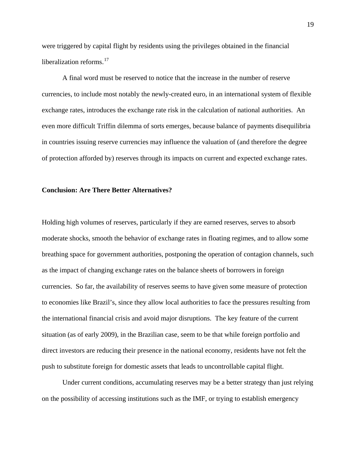were triggered by capital flight by residents using the privileges obtained in the financial liberalization reforms. $17$ 

A final word must be reserved to notice that the increase in the number of reserve currencies, to include most notably the newly-created euro, in an international system of flexible exchange rates, introduces the exchange rate risk in the calculation of national authorities. An even more difficult Triffin dilemma of sorts emerges, because balance of payments disequilibria in countries issuing reserve currencies may influence the valuation of (and therefore the degree of protection afforded by) reserves through its impacts on current and expected exchange rates.

#### **Conclusion: Are There Better Alternatives?**

Holding high volumes of reserves, particularly if they are earned reserves, serves to absorb moderate shocks, smooth the behavior of exchange rates in floating regimes, and to allow some breathing space for government authorities, postponing the operation of contagion channels, such as the impact of changing exchange rates on the balance sheets of borrowers in foreign currencies. So far, the availability of reserves seems to have given some measure of protection to economies like Brazil's, since they allow local authorities to face the pressures resulting from the international financial crisis and avoid major disruptions. The key feature of the current situation (as of early 2009), in the Brazilian case, seem to be that while foreign portfolio and direct investors are reducing their presence in the national economy, residents have not felt the push to substitute foreign for domestic assets that leads to uncontrollable capital flight.

Under current conditions, accumulating reserves may be a better strategy than just relying on the possibility of accessing institutions such as the IMF, or trying to establish emergency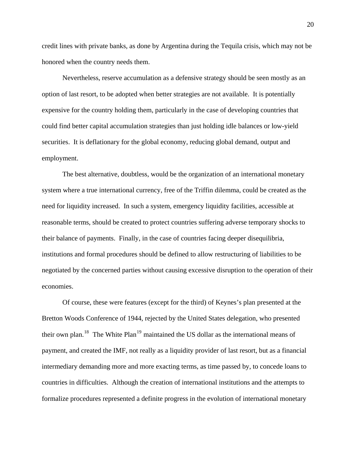credit lines with private banks, as done by Argentina during the Tequila crisis, which may not be honored when the country needs them.

Nevertheless, reserve accumulation as a defensive strategy should be seen mostly as an option of last resort, to be adopted when better strategies are not available. It is potentially expensive for the country holding them, particularly in the case of developing countries that could find better capital accumulation strategies than just holding idle balances or low-yield securities. It is deflationary for the global economy, reducing global demand, output and employment.

The best alternative, doubtless, would be the organization of an international monetary system where a true international currency, free of the Triffin dilemma, could be created as the need for liquidity increased. In such a system, emergency liquidity facilities, accessible at reasonable terms, should be created to protect countries suffering adverse temporary shocks to their balance of payments. Finally, in the case of countries facing deeper disequilibria, institutions and formal procedures should be defined to allow restructuring of liabilities to be negotiated by the concerned parties without causing excessive disruption to the operation of their economies.

Of course, these were features (except for the third) of Keynes's plan presented at the Bretton Woods Conference of 1944, rejected by the United States delegation, who presented their own plan.<sup>[18](#page-25-17)</sup> The White Plan<sup>[19](#page-25-18)</sup> maintained the US dollar as the international means of payment, and created the IMF, not really as a liquidity provider of last resort, but as a financial intermediary demanding more and more exacting terms, as time passed by, to concede loans to countries in difficulties. Although the creation of international institutions and the attempts to formalize procedures represented a definite progress in the evolution of international monetary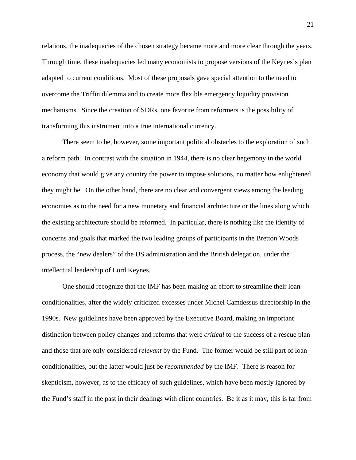relations, the inadequacies of the chosen strategy became more and more clear through the years. Through time, these inadequacies led many economists to propose versions of the Keynes's plan adapted to current conditions. Most of these proposals gave special attention to the need to overcome the Triffin dilemma and to create more flexible emergency liquidity provision mechanisms. Since the creation of SDRs, one favorite from reformers is the possibility of transforming this instrument into a true international currency.

There seem to be, however, some important political obstacles to the exploration of such a reform path. In contrast with the situation in 1944, there is no clear hegemony in the world economy that would give any country the power to impose solutions, no matter how enlightened they might be. On the other hand, there are no clear and convergent views among the leading economies as to the need for a new monetary and financial architecture or the lines along which the existing architecture should be reformed. In particular, there is nothing like the identity of concerns and goals that marked the two leading groups of participants in the Bretton Woods process, the "new dealers" of the US administration and the British delegation, under the intellectual leadership of Lord Keynes.

One should recognize that the IMF has been making an effort to streamline their loan conditionalities, after the widely criticized excesses under Michel Camdessus directorship in the 1990s. New guidelines have been approved by the Executive Board, making an important distinction between policy changes and reforms that were *critical* to the success of a rescue plan and those that are only considered *relevant* by the Fund. The former would be still part of loan conditionalities, but the latter would just be *recommended* by the IMF. There is reason for skepticism, however, as to the efficacy of such guidelines, which have been mostly ignored by the Fund's staff in the past in their dealings with client countries. Be it as it may, this is far from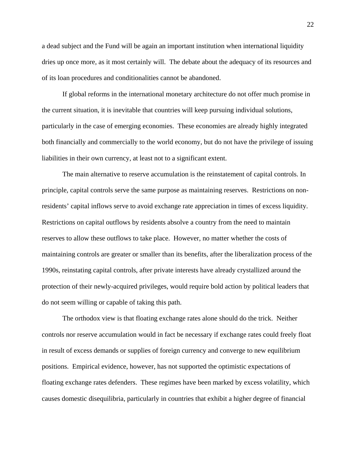a dead subject and the Fund will be again an important institution when international liquidity dries up once more, as it most certainly will. The debate about the adequacy of its resources and of its loan procedures and conditionalities cannot be abandoned.

 If global reforms in the international monetary architecture do not offer much promise in the current situation, it is inevitable that countries will keep pursuing individual solutions, particularly in the case of emerging economies. These economies are already highly integrated both financially and commercially to the world economy, but do not have the privilege of issuing liabilities in their own currency, at least not to a significant extent.

The main alternative to reserve accumulation is the reinstatement of capital controls. In principle, capital controls serve the same purpose as maintaining reserves. Restrictions on nonresidents' capital inflows serve to avoid exchange rate appreciation in times of excess liquidity. Restrictions on capital outflows by residents absolve a country from the need to maintain reserves to allow these outflows to take place. However, no matter whether the costs of maintaining controls are greater or smaller than its benefits, after the liberalization process of the 1990s, reinstating capital controls, after private interests have already crystallized around the protection of their newly-acquired privileges, would require bold action by political leaders that do not seem willing or capable of taking this path.

The orthodox view is that floating exchange rates alone should do the trick. Neither controls nor reserve accumulation would in fact be necessary if exchange rates could freely float in result of excess demands or supplies of foreign currency and converge to new equilibrium positions. Empirical evidence, however, has not supported the optimistic expectations of floating exchange rates defenders. These regimes have been marked by excess volatility, which causes domestic disequilibria, particularly in countries that exhibit a higher degree of financial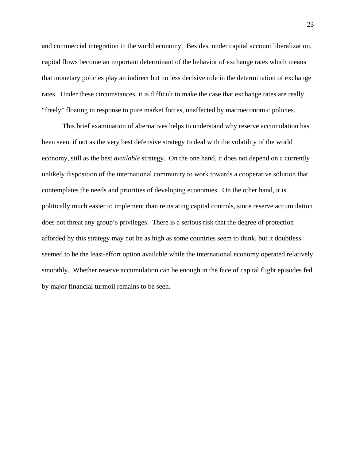and commercial integration in the world economy. Besides, under capital account liberalization, capital flows become an important determinant of the behavior of exchange rates which means that monetary policies play an indirect but no less decisive role in the determination of exchange rates. Under these circumstances, it is difficult to make the case that exchange rates are really "freely" floating in response to pure market forces, unaffected by macroeconomic policies.

This brief examination of alternatives helps to understand why reserve accumulation has been seen, if not as the very best defensive strategy to deal with the volatility of the world economy, still as the best *available* strategy. On the one hand, it does not depend on a currently unlikely disposition of the international community to work towards a cooperative solution that contemplates the needs and priorities of developing economies. On the other hand, it is politically much easier to implement than reinstating capital controls, since reserve accumulation does not threat any group's privileges. There is a serious risk that the degree of protection afforded by this strategy may not be as high as some countries seem to think, but it doubtless seemed to be the least-effort option available while the international economy operated relatively smoothly. Whether reserve accumulation can be enough in the face of capital flight episodes fed by major financial turmoil remains to be seen.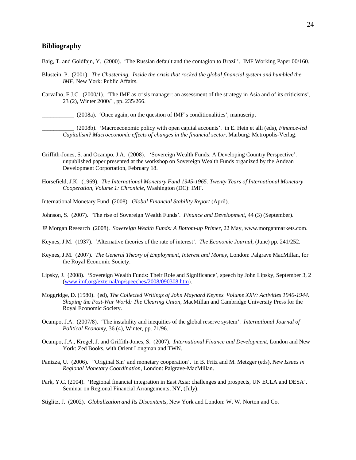#### **Bibliography**

Baig, T. and Goldfajn, Y. (2000). 'The Russian default and the contagion to Brazil'. IMF Working Paper 00/160.

- Blustein, P. (2001). *The Chastening. Inside the crisis that rocked the global financial system and humbled the IMF*, New York: Public Affairs.
- Carvalho, F.J.C. (2000/1). 'The IMF as crisis manager: an assessment of the strategy in Asia and of its criticisms', 23 (2), Winter 2000/1, pp. 235/266.

\_\_\_\_\_\_\_\_\_\_\_ (2008a). 'Once again, on the question of IMF's conditionalities', manuscript

\_\_\_\_\_\_\_\_\_\_\_ (2008b). 'Macroeconomic policy with open capital accounts'. in E. Hein et alli (eds), *Finance-led Capitalism? Macroeconomic effects of changes in the financial sector*, Marburg: Metropolis-Verlag.

- Griffith-Jones, S. and Ocampo, J.A. (2008). 'Sovereign Wealth Funds: A Developing Country Perspective'. unpublished paper presented at the workshop on Sovereign Wealth Funds organized by the Andean Development Corportation, February 18.
- Horsefield, J.K. (1969). *The International Monetary Fund 1945-1965. Twenty Years of International Monetary Cooperation*, *Volume 1: Chronicle*, Washington (DC): IMF.

International Monetary Fund (2008). *Global Financial Stability Report* (April).

Johnson, S. (2007). 'The rise of Sovereign Wealth Funds'. *Finance and Development*, 44 (3) (September).

JP Morgan Research (2008). *Sovereign Wealth Funds: A Bottom-up Primer*, 22 May, www.morganmarkets.com.

- Keynes, J.M. (1937). 'Alternative theories of the rate of interest'. *The Economic Journal*, (June) pp. 241/252.
- Keynes, J.M. (2007). *The General Theory of Employment, Interest and Money*, London: Palgrave MacMillan, for the Royal Economic Society.
- Lipsky, J. (2008). 'Sovereign Wealth Funds: Their Role and Significance', speech by John Lipsky, September 3, 2 [\(www.imf.org/external/np/speeches/2008/090308.htm\)](http://www.imf.org/external/np/speeches/2008/090308.htm).
- Moggridge, D. (1980). (ed), *The Collected Writings of John Maynard Keynes. Volume XXV: Activities 1940-1944. Shaping the Post-War World: The Clearing Union*, MacMillan and Cambridge University Press for the Royal Economic Society.
- Ocampo, J.A. (2007/8). 'The instability and inequities of the global reserve system'. *International Journal of Political Economy*, 36 (4), Winter, pp. 71/96.
- Ocampo, J.A., Kregel, J. and Griffith-Jones, S. (2007). *International Finance and Development*, London and New York: Zed Books, with Orient Longman and TWN.
- Panizza, U. (2006). ''Original Sin' and monetary cooperation'. in B. Fritz and M. Metzger (eds), *New Issues in Regional Monetary Coordination*, London: Palgrave-MacMillan.
- Park, Y.C. (2004). 'Regional financial integration in East Asia: challenges and prospects, UN ECLA and DESA'. Seminar on Regional Financial Arrangements, NY, (July).
- Stiglitz, J. (2002). *Globalization and Its Discontents*, New York and London: W. W. Norton and Co.